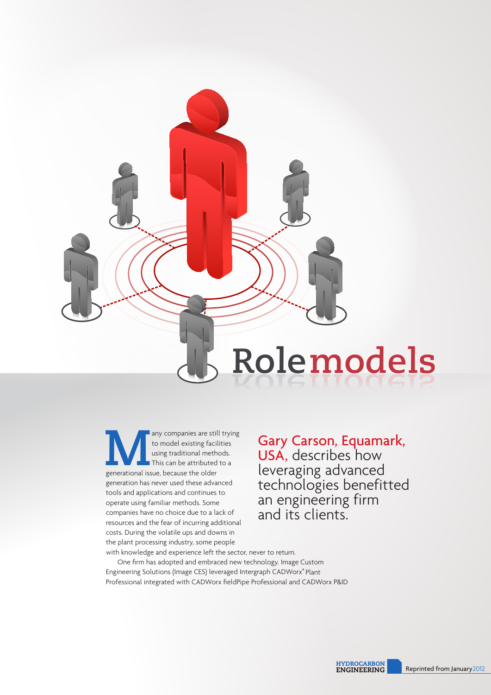

**Many companies are still trying**<br>to model existing facilities<br>using traditional methods.<br>This can be attributed to a<br>generational issue, because the older to model existing facilities using traditional methods. This can be attributed to a generation has never used these advanced tools and applications and continues to operate using familiar methods. Some companies have no choice due to a lack of resources and the fear of incurring additional costs. During the volatile ups and downs in the plant processing industry, some people with knowledge and experience left the sector, never to return.

Gary Carson, Equamark, USA, describes how leveraging advanced technologies benefitted an engineering firm and its clients.

One firm has adopted and embraced new technology. Image Custom Engineering Solutions (Image CES) leveraged Intergraph CADWorx® Plant Professional integrated with CADWorx fieldPipe Professional and CADWorx P&ID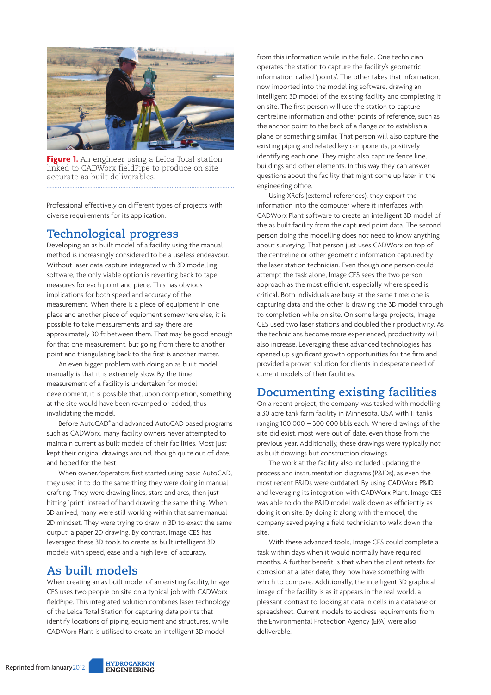

**Figure 1.** An engineer using a Leica Total station linked to CADWorx fieldPipe to produce on site accurate as built deliverables.

Professional effectively on different types of projects with diverse requirements for its application.

# **Technological progress**

Developing an as built model of a facility using the manual method is increasingly considered to be a useless endeavour. Without laser data capture integrated with 3D modelling software, the only viable option is reverting back to tape measures for each point and piece. This has obvious implications for both speed and accuracy of the measurement. When there is a piece of equipment in one place and another piece of equipment somewhere else, it is possible to take measurements and say there are approximately 30 ft between them. That may be good enough for that one measurement, but going from there to another point and triangulating back to the first is another matter.

An even bigger problem with doing an as built model manually is that it is extremely slow. By the time measurement of a facility is undertaken for model development, it is possible that, upon completion, something at the site would have been revamped or added, thus invalidating the model.

Before AutoCAD® and advanced AutoCAD based programs such as CADWorx, many facility owners never attempted to maintain current as built models of their facilities. Most just kept their original drawings around, though quite out of date, and hoped for the best.

When owner/operators first started using basic AutoCAD, they used it to do the same thing they were doing in manual drafting. They were drawing lines, stars and arcs, then just hitting 'print' instead of hand drawing the same thing. When 3D arrived, many were still working within that same manual 2D mindset. They were trying to draw in 3D to exact the same output: a paper 2D drawing. By contrast, Image CES has leveraged these 3D tools to create as built intelligent 3D models with speed, ease and a high level of accuracy.

#### **As built models**

When creating an as built model of an existing facility, Image CES uses two people on site on a typical job with CADWorx fieldPipe. This integrated solution combines laser technology of the Leica Total Station for capturing data points that identify locations of piping, equipment and structures, while CADWorx Plant is utilised to create an intelligent 3D model

from this information while in the field. One technician operates the station to capture the facility's geometric information, called 'points'. The other takes that information, now imported into the modelling software, drawing an intelligent 3D model of the existing facility and completing it on site. The first person will use the station to capture centreline information and other points of reference, such as the anchor point to the back of a flange or to establish a plane or something similar. That person will also capture the existing piping and related key components, positively identifying each one. They might also capture fence line, buildings and other elements. In this way they can answer questions about the facility that might come up later in the engineering office.

Using XRefs (external references), they export the information into the computer where it interfaces with CADWorx Plant software to create an intelligent 3D model of the as built facility from the captured point data. The second person doing the modelling does not need to know anything about surveying. That person just uses CADWorx on top of the centreline or other geometric information captured by the laser station technician. Even though one person could attempt the task alone, Image CES sees the two person approach as the most efficient, especially where speed is critical. Both individuals are busy at the same time: one is capturing data and the other is drawing the 3D model through to completion while on site. On some large projects, Image CES used two laser stations and doubled their productivity. As the technicians become more experienced, productivity will also increase. Leveraging these advanced technologies has opened up significant growth opportunities for the firm and provided a proven solution for clients in desperate need of current models of their facilities.

## **Documenting existing facilities**

On a recent project, the company was tasked with modelling a 30 acre tank farm facility in Minnesota, USA with 11 tanks ranging 100 000 – 300 000 bbls each. Where drawings of the site did exist, most were out of date, even those from the previous year. Additionally, these drawings were typically not as built drawings but construction drawings.

The work at the facility also included updating the process and instrumentation diagrams (P&IDs), as even the most recent P&IDs were outdated. By using CADWorx P&ID and leveraging its integration with CADWorx Plant, Image CES was able to do the P&ID model walk down as efficiently as doing it on site. By doing it along with the model, the company saved paying a field technician to walk down the site.

With these advanced tools, Image CES could complete a task within days when it would normally have required months. A further benefit is that when the client retests for corrosion at a later date, they now have something with which to compare. Additionally, the intelligent 3D graphical image of the facility is as it appears in the real world, a pleasant contrast to looking at data in cells in a database or spreadsheet. Current models to address requirements from the Environmental Protection Agency (EPA) were also deliverable.